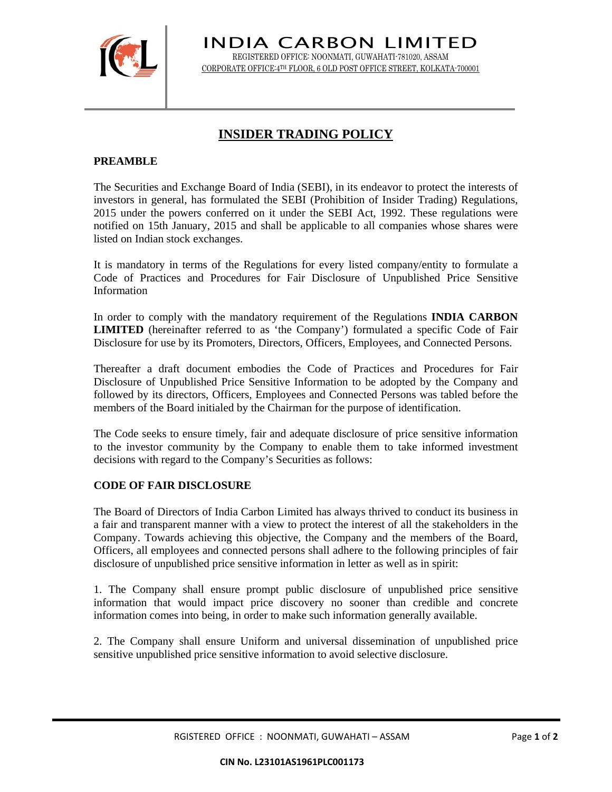

INDIA CARBON LIMITED REGISTERED OFFICE: NOONMATI, GUWAHATI-781020, ASSAM CORPORATE OFFICE:4TH FLOOR, 6 OLD POST OFFICE STREET, KOLKATA-700001

## **INSIDER TRADING POLICY**

## **PREAMBLE**

The Securities and Exchange Board of India (SEBI), in its endeavor to protect the interests of investors in general, has formulated the SEBI (Prohibition of Insider Trading) Regulations, 2015 under the powers conferred on it under the SEBI Act, 1992. These regulations were notified on 15th January, 2015 and shall be applicable to all companies whose shares were listed on Indian stock exchanges.

It is mandatory in terms of the Regulations for every listed company/entity to formulate a Code of Practices and Procedures for Fair Disclosure of Unpublished Price Sensitive Information

In order to comply with the mandatory requirement of the Regulations **INDIA CARBON LIMITED** (hereinafter referred to as 'the Company') formulated a specific Code of Fair Disclosure for use by its Promoters, Directors, Officers, Employees, and Connected Persons.

Thereafter a draft document embodies the Code of Practices and Procedures for Fair Disclosure of Unpublished Price Sensitive Information to be adopted by the Company and followed by its directors, Officers, Employees and Connected Persons was tabled before the members of the Board initialed by the Chairman for the purpose of identification.

The Code seeks to ensure timely, fair and adequate disclosure of price sensitive information to the investor community by the Company to enable them to take informed investment decisions with regard to the Company's Securities as follows:

## **CODE OF FAIR DISCLOSURE**

The Board of Directors of India Carbon Limited has always thrived to conduct its business in a fair and transparent manner with a view to protect the interest of all the stakeholders in the Company. Towards achieving this objective, the Company and the members of the Board, Officers, all employees and connected persons shall adhere to the following principles of fair disclosure of unpublished price sensitive information in letter as well as in spirit:

1. The Company shall ensure prompt public disclosure of unpublished price sensitive information that would impact price discovery no sooner than credible and concrete information comes into being, in order to make such information generally available.

2. The Company shall ensure Uniform and universal dissemination of unpublished price sensitive unpublished price sensitive information to avoid selective disclosure.